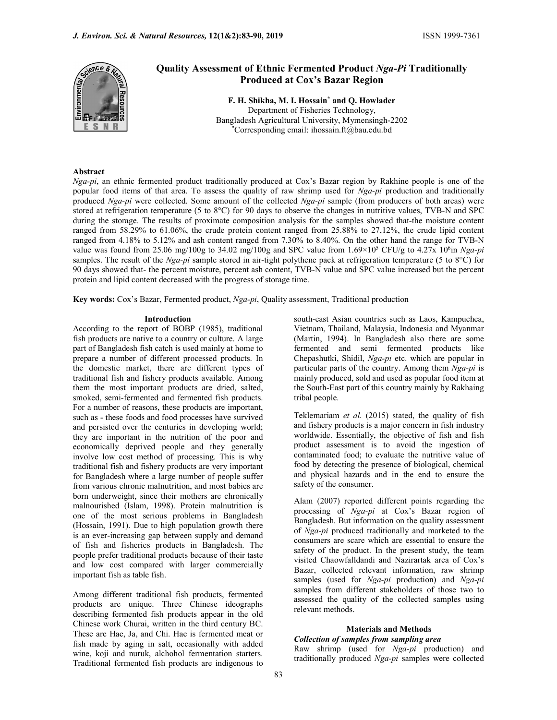

# Quality Assessment of Ethnic Fermented Product Nga-Pi Traditionally Produced at Cox's Bazar Region

F. H. Shikha, M. I. Hossain\* and Q. Howlader Department of Fisheries Technology, Bangladesh Agricultural University, Mymensingh-2202 \*Corresponding email: ihossain.ft@bau.edu.bd

#### Abstract

Nga-pi, an ethnic fermented product traditionally produced at Cox's Bazar region by Rakhine people is one of the popular food items of that area. To assess the quality of raw shrimp used for  $Nga-pi$  production and traditionally produced Nga-pi were collected. Some amount of the collected Nga-pi sample (from producers of both areas) were stored at refrigeration temperature (5 to 8°C) for 90 days to observe the changes in nutritive values, TVB-N and SPC during the storage. The results of proximate composition analysis for the samples showed that-the moisture content ranged from 58.29% to 61.06%, the crude protein content ranged from 25.88% to 27,12%, the crude lipid content ranged from 4.18% to 5.12% and ash content ranged from 7.30% to 8.40%. On the other hand the range for TVB-N value was found from 25.06 mg/100g to 34.02 mg/100g and SPC value from  $1.69\times10^5$  CFU/g to 4.27x 10<sup>6</sup>in Nga-pi samples. The result of the Nga-pi sample stored in air-tight polythene pack at refrigeration temperature (5 to  $8^{\circ}$ C) for 90 days showed that- the percent moisture, percent ash content, TVB-N value and SPC value increased but the percent protein and lipid content decreased with the progress of storage time.

Key words: Cox's Bazar, Fermented product, Nga-pi, Quality assessment, Traditional production

#### Introduction

According to the report of BOBP (1985), traditional fish products are native to a country or culture. A large part of Bangladesh fish catch is used mainly at home to prepare a number of different processed products. In the domestic market, there are different types of traditional fish and fishery products available. Among them the most important products are dried, salted, smoked, semi-fermented and fermented fish products. For a number of reasons, these products are important, such as - these foods and food processes have survived and persisted over the centuries in developing world; they are important in the nutrition of the poor and economically deprived people and they generally involve low cost method of processing. This is why traditional fish and fishery products are very important for Bangladesh where a large number of people suffer from various chronic malnutrition, and most babies are born underweight, since their mothers are chronically malnourished (Islam, 1998). Protein malnutrition is one of the most serious problems in Bangladesh (Hossain, 1991). Due to high population growth there is an ever-increasing gap between supply and demand of fish and fisheries products in Bangladesh. The people prefer traditional products because of their taste and low cost compared with larger commercially important fish as table fish.

Among different traditional fish products, fermented products are unique. Three Chinese ideographs describing fermented fish products appear in the old Chinese work Churai, written in the third century BC. These are Hae, Ja, and Chi. Hae is fermented meat or fish made by aging in salt, occasionally with added wine, koji and nuruk, alchohol fermentation starters. Traditional fermented fish products are indigenous to south-east Asian countries such as Laos, Kampuchea, Vietnam, Thailand, Malaysia, Indonesia and Myanmar (Martin, 1994). In Bangladesh also there are some fermented and semi fermented products like Chepashutki, Shidil, Nga-pi etc. which are popular in particular parts of the country. Among them Nga-pi is mainly produced, sold and used as popular food item at the South-East part of this country mainly by Rakhaing tribal people.

Teklemariam et al. (2015) stated, the quality of fish and fishery products is a major concern in fish industry worldwide. Essentially, the objective of fish and fish product assessment is to avoid the ingestion of contaminated food; to evaluate the nutritive value of food by detecting the presence of biological, chemical and physical hazards and in the end to ensure the safety of the consumer.

Alam (2007) reported different points regarding the processing of Nga-pi at Cox's Bazar region of Bangladesh. But information on the quality assessment of Nga-pi produced traditionally and marketed to the consumers are scare which are essential to ensure the safety of the product. In the present study, the team visited Chaowfalldandi and Nazirartak area of Cox's Bazar, collected relevant information, raw shrimp samples (used for Nga-pi production) and Nga-pi samples from different stakeholders of those two to assessed the quality of the collected samples using relevant methods.

#### Materials and Methods

Collection of samples from sampling area Raw shrimp (used for Nga-pi production) and traditionally produced Nga-pi samples were collected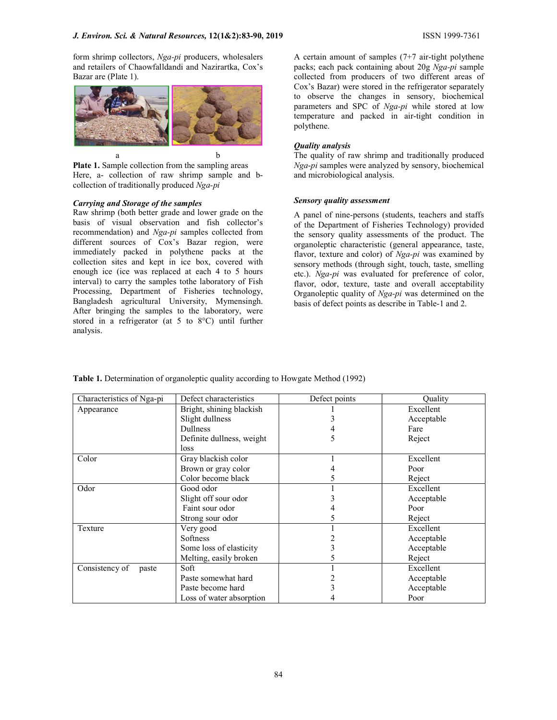form shrimp collectors, Nga-pi producers, wholesalers and retailers of Chaowfalldandi and Nazirartka, Cox's Bazar are (Plate 1).



Plate 1. Sample collection from the sampling areas Here, a- collection of raw shrimp sample and bcollection of traditionally produced Nga-pi

#### Carrying and Storage of the samples

Raw shrimp (both better grade and lower grade on the basis of visual observation and fish collector's recommendation) and Nga-pi samples collected from different sources of Cox's Bazar region, were immediately packed in polythene packs at the collection sites and kept in ice box, covered with enough ice (ice was replaced at each 4 to 5 hours interval) to carry the samples tothe laboratory of Fish Processing, Department of Fisheries technology, Bangladesh agricultural University, Mymensingh. After bringing the samples to the laboratory, were stored in a refrigerator (at 5 to 8°C) until further analysis.

A certain amount of samples (7+7 air-tight polythene packs; each pack containing about 20g Nga-pi sample collected from producers of two different areas of Cox's Bazar) were stored in the refrigerator separately to observe the changes in sensory, biochemical parameters and SPC of Nga-pi while stored at low temperature and packed in air-tight condition in polythene.

#### Quality analysis

The quality of raw shrimp and traditionally produced Nga-pi samples were analyzed by sensory, biochemical and microbiological analysis.

## Sensory quality assessment

A panel of nine-persons (students, teachers and staffs of the Department of Fisheries Technology) provided the sensory quality assessments of the product. The organoleptic characteristic (general appearance, taste, flavor, texture and color) of Nga-pi was examined by sensory methods (through sight, touch, taste, smelling etc.). Nga-pi was evaluated for preference of color, flavor, odor, texture, taste and overall acceptability Organoleptic quality of Nga-pi was determined on the basis of defect points as describe in Table-1 and 2.

| Characteristics of Nga-pi | Defect characteristics    | Defect points | Ouality    |
|---------------------------|---------------------------|---------------|------------|
| Appearance                | Bright, shining blackish  |               | Excellent  |
|                           | Slight dullness           |               | Acceptable |
|                           | Dullness                  |               | Fare       |
|                           | Definite dullness, weight |               | Reject     |
|                           | loss                      |               |            |
| Color                     | Gray blackish color       |               | Excellent  |
|                           | Brown or gray color       |               | Poor       |
|                           | Color become black        |               | Reject     |
| Odor                      | Good odor                 |               | Excellent  |
|                           | Slight off sour odor      |               | Acceptable |
|                           | Faint sour odor           |               | Poor       |
|                           | Strong sour odor          |               | Reject     |
| Texture                   | Very good                 |               | Excellent  |
|                           | Softness                  |               | Acceptable |
|                           | Some loss of elasticity   |               | Acceptable |
|                           | Melting, easily broken    |               | Reject     |
| Consistency of<br>paste   | Soft                      |               | Excellent  |
|                           | Paste somewhat hard       |               | Acceptable |
|                           | Paste become hard         |               | Acceptable |
|                           | Loss of water absorption  |               | Poor       |

Table 1. Determination of organoleptic quality according to Howgate Method (1992)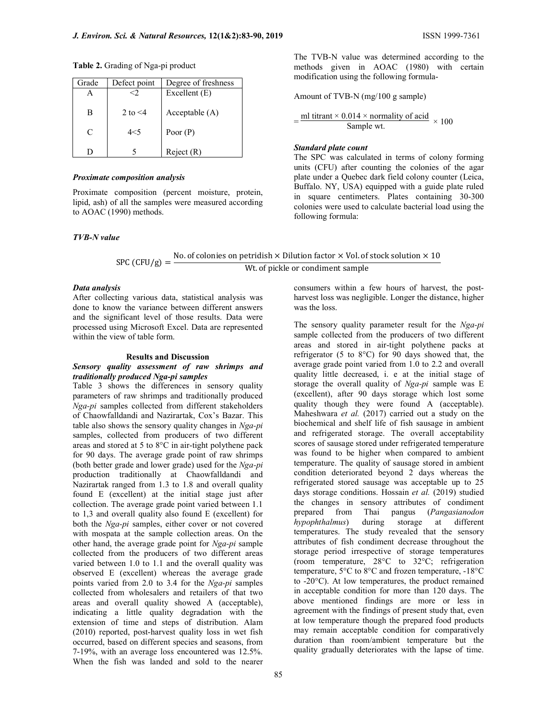Table 2. Grading of Nga-pi product

| Grade | Defect point  | Degree of freshness |
|-------|---------------|---------------------|
|       |               | Excellent (E)       |
|       |               |                     |
| в     | 2 to $\leq 4$ | Acceptable $(A)$    |
|       |               |                     |
| C     | $4<$ 5        | Poor $(P)$          |
|       |               |                     |
|       |               | Reject(R)           |

## Proximate composition analysis

Proximate composition (percent moisture, protein, lipid, ash) of all the samples were measured according to AOAC (1990) methods.

### TVB-N value

The TVB-N value was determined according to the methods given in AOAC (1980) with certain modification using the following formula-

Amount of TVB-N (mg/100 g sample)

$$
= \frac{\text{ml titrant} \times 0.014 \times \text{normality of acid}}{\text{Sample wt.}} \times 100
$$

## Standard plate count

The SPC was calculated in terms of colony forming units (CFU) after counting the colonies of the agar plate under a Quebec dark field colony counter (Leica, Buffalo. NY, USA) equipped with a guide plate ruled in square centimeters. Plates containing 30-300 colonies were used to calculate bacterial load using the following formula:

# SPC (CFU/g) =  $\frac{\text{No. of colonies on pertidish} \times \text{Dilution factor} \times \text{Vol. of stock solution} \times 10}{\text{Me of yields an equilibrium sample}}$ Wt. of pickle or condiment sample

#### Data analysis

After collecting various data, statistical analysis was done to know the variance between different answers and the significant level of those results. Data were processed using Microsoft Excel. Data are represented within the view of table form.

#### Results and Discussion

## Sensory quality assessment of raw shrimps and traditionally produced Nga-pi samples

Table 3 shows the differences in sensory quality parameters of raw shrimps and traditionally produced Nga-pi samples collected from different stakeholders of Chaowfalldandi and Nazirartak, Cox's Bazar. This table also shows the sensory quality changes in Nga-pi samples, collected from producers of two different areas and stored at 5 to 8°C in air-tight polythene pack for 90 days. The average grade point of raw shrimps (both better grade and lower grade) used for the Nga-pi production traditionally at Chaowfalldandi and Nazirartak ranged from 1.3 to 1.8 and overall quality found E (excellent) at the initial stage just after collection. The average grade point varied between 1.1 to 1,3 and overall quality also found E (excellent) for both the Nga-pi samples, either cover or not covered with mospata at the sample collection areas. On the other hand, the average grade point for Nga-pi sample collected from the producers of two different areas varied between 1.0 to 1.1 and the overall quality was observed E (excellent) whereas the average grade points varied from 2.0 to 3.4 for the Nga-pi samples collected from wholesalers and retailers of that two areas and overall quality showed A (acceptable), indicating a little quality degradation with the extension of time and steps of distribution. Alam (2010) reported, post-harvest quality loss in wet fish occurred, based on different species and seasons, from 7-19%, with an average loss encountered was 12.5%. When the fish was landed and sold to the nearer consumers within a few hours of harvest, the postharvest loss was negligible. Longer the distance, higher was the loss.

The sensory quality parameter result for the Nga-pi sample collected from the producers of two different areas and stored in air-tight polythene packs at refrigerator (5 to 8°C) for 90 days showed that, the average grade point varied from 1.0 to 2.2 and overall quality little decreased, i. e at the initial stage of storage the overall quality of  $Nga-pi$  sample was E (excellent), after 90 days storage which lost some quality though they were found A (acceptable). Maheshwara et al. (2017) carried out a study on the biochemical and shelf life of fish sausage in ambient and refrigerated storage. The overall acceptability scores of sausage stored under refrigerated temperature was found to be higher when compared to ambient temperature. The quality of sausage stored in ambient condition deteriorated beyond 2 days whereas the refrigerated stored sausage was acceptable up to 25 days storage conditions. Hossain et al. (2019) studied the changes in sensory attributes of condiment prepared from Thai pangus (Pangasianodon hypophthalmus) during storage at different temperatures. The study revealed that the sensory attributes of fish condiment decrease throughout the storage period irrespective of storage temperatures (room temperature, 28°C to 32°C; refrigeration temperature, 5°C to 8°C and frozen temperature, -18°C to -20°C). At low temperatures, the product remained in acceptable condition for more than 120 days. The above mentioned findings are more or less in agreement with the findings of present study that, even at low temperature though the prepared food products may remain acceptable condition for comparatively duration than room/ambient temperature but the quality gradually deteriorates with the lapse of time.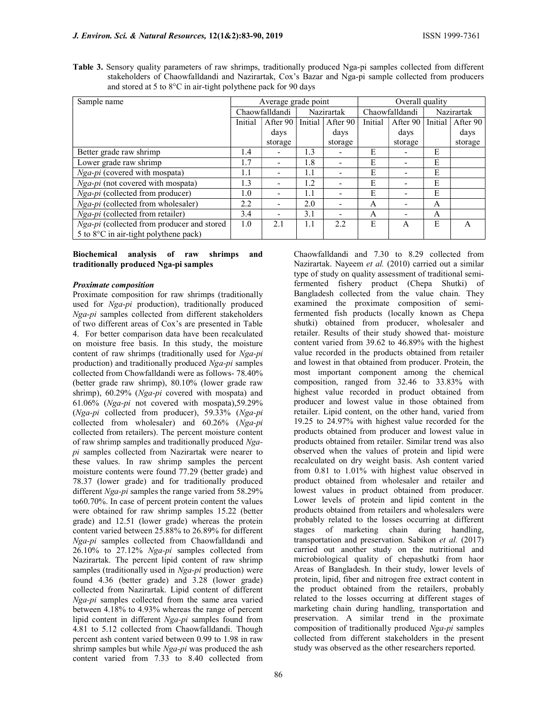| Sample name                                       |         | Average grade point |         |            | Overall quality |                          |            |          |  |
|---------------------------------------------------|---------|---------------------|---------|------------|-----------------|--------------------------|------------|----------|--|
|                                                   |         | Chaowfalldandi      |         | Nazirartak | Chaowfalldandi  |                          | Nazirartak |          |  |
|                                                   | Initial | After 90            | Initial | After 90   | Initial         | After 90                 | Initial    | After 90 |  |
|                                                   |         | days                |         | days       |                 | days                     |            | days     |  |
|                                                   |         | storage             |         | storage    |                 | storage                  |            | storage  |  |
| Better grade raw shrimp                           | 1.4     |                     | 1.3     |            | Е               |                          | Е          |          |  |
| Lower grade raw shrimp                            |         | ۰                   | 1.8     |            | E               | $\overline{\phantom{0}}$ | E          |          |  |
| Nga-pi (covered with mospata)                     |         |                     | 1.1     |            | E               | -                        | E          |          |  |
| Nga-pi (not covered with mospata)                 | 1.3     | ۰                   | 1.2     |            | E               | $\overline{\phantom{a}}$ | E          |          |  |
| Nga-pi (collected from producer)                  | $1.0\,$ |                     | 1.1     |            | E               | $\overline{\phantom{0}}$ | E          |          |  |
| Nga-pi (collected from wholesaler)                | 2.2     | ۰                   | 2.0     |            | А               | $\overline{\phantom{a}}$ | А          |          |  |
| Nga-pi (collected from retailer)                  |         | ٠                   | 3.1     |            | А               | -                        | А          |          |  |
| <i>Nga-pi</i> (collected from producer and stored | 1.0     | 2.1                 |         | 2.2        | E               | A                        | E          | А        |  |

Table 3. Sensory quality parameters of raw shrimps, traditionally produced Nga-pi samples collected from different stakeholders of Chaowfalldandi and Nazirartak, Cox's Bazar and Nga-pi sample collected from producers and stored at 5 to 8°C in air-tight polythene pack for 90 days

Biochemical analysis of raw shrimps and traditionally produced Nga-pi samples

5 to 8°C in air-tight polythene pack)

### Proximate composition

Proximate composition for raw shrimps (traditionally used for Nga-pi production), traditionally produced Nga-pi samples collected from different stakeholders of two different areas of Cox's are presented in Table 4. For better comparison data have been recalculated on moisture free basis. In this study, the moisture content of raw shrimps (traditionally used for Nga-pi production) and traditionally produced Nga-pi samples collected from Chowfalldandi were as follows- 78.40% (better grade raw shrimp), 80.10% (lower grade raw shrimp), 60.29% (Nga-pi covered with mospata) and 61.06% (Nga-pi not covered with mospata),59.29% (Nga-pi collected from producer), 59.33% (Nga-pi collected from wholesaler) and 60.26% (Nga-pi collected from retailers). The percent moisture content of raw shrimp samples and traditionally produced Ngapi samples collected from Nazirartak were nearer to these values. In raw shrimp samples the percent moisture contents were found 77.29 (better grade) and 78.37 (lower grade) and for traditionally produced different Nga-pi samples the range varied from 58.29% to60.70%. In case of percent protein content the values were obtained for raw shrimp samples 15.22 (better grade) and 12.51 (lower grade) whereas the protein content varied between 25.88% to 26.89% for different Nga-pi samples collected from Chaowfalldandi and 26.10% to 27.12% Nga-pi samples collected from Nazirartak. The percent lipid content of raw shrimp samples (traditionally used in Nga-pi production) were found 4.36 (better grade) and 3.28 (lower grade) collected from Nazirartak. Lipid content of different Nga-pi samples collected from the same area varied between 4.18% to 4.93% whereas the range of percent lipid content in different Nga-pi samples found from 4.81 to 5.12 collected from Chaowfalldandi. Though percent ash content varied between 0.99 to 1.98 in raw shrimp samples but while Nga-pi was produced the ash content varied from 7.33 to 8.40 collected from

Nazirartak. Nayeem et al. (2010) carried out a similar type of study on quality assessment of traditional semifermented fishery product (Chepa Shutki) of Bangladesh collected from the value chain. They examined the proximate composition of semifermented fish products (locally known as Chepa shutki) obtained from producer, wholesaler and retailer. Results of their study showed that- moisture content varied from 39.62 to 46.89% with the highest value recorded in the products obtained from retailer and lowest in that obtained from producer. Protein, the most important component among the chemical composition, ranged from 32.46 to 33.83% with highest value recorded in product obtained from producer and lowest value in those obtained from retailer. Lipid content, on the other hand, varied from 19.25 to 24.97% with highest value recorded for the products obtained from producer and lowest value in products obtained from retailer. Similar trend was also observed when the values of protein and lipid were recalculated on dry weight basis. Ash content varied from 0.81 to 1.01% with highest value observed in product obtained from wholesaler and retailer and lowest values in product obtained from producer. Lower levels of protein and lipid content in the products obtained from retailers and wholesalers were probably related to the losses occurring at different stages of marketing chain during handling, transportation and preservation. Sabikon et al. (2017) carried out another study on the nutritional and microbiological quality of chepashutki from haor Areas of Bangladesh. In their study, lower levels of protein, lipid, fiber and nitrogen free extract content in the product obtained from the retailers, probably related to the losses occurring at different stages of marketing chain during handling, transportation and preservation. A similar trend in the proximate composition of traditionally produced Nga-pi samples collected from different stakeholders in the present study was observed as the other researchers reported.

Chaowfalldandi and 7.30 to 8.29 collected from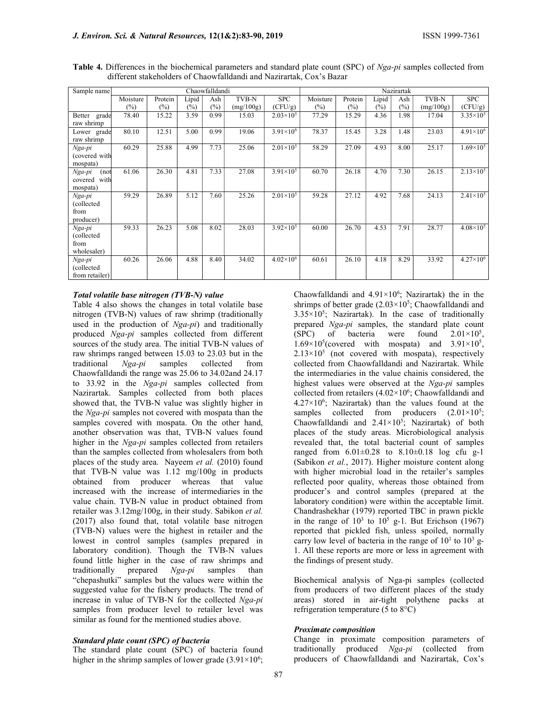| Sample name                                 |          |         |        | Chaowfalldandi |           |                      | Nazirartak |         |        |      |           |                      |
|---------------------------------------------|----------|---------|--------|----------------|-----------|----------------------|------------|---------|--------|------|-----------|----------------------|
|                                             | Moisture | Protein | Lipid  | Ash            | TVB-N     | <b>SPC</b>           | Moisture   | Protein | Lipid  | Ash  | TVB-N     | <b>SPC</b>           |
|                                             | $(\%)$   | (%)     | $(\%)$ | $(\%)$         | (mg/100g) | (CFU/g)              | (%)        | (%)     | $(\%)$ | (%)  | (mg/100g) | (CFU/g)              |
| Better grade<br>raw shrimp                  | 78.40    | 15.22   | 3.59   | 0.99           | 15.03     | $2.03\times10^{5}$   | 77.29      | 15.29   | 4.36   | 1.98 | 17.04     | $3.35\times10^{5}$   |
| Lower grade<br>raw shrimp                   | 80.10    | 12.51   | 5.00   | 0.99           | 19.06     | $3.91\times10^{6}$   | 78.37      | 15.45   | 3.28   | 1.48 | 23.03     | $4.91\times10^{6}$   |
| Nga-pi<br>(covered with<br>mospata)         | 60.29    | 25.88   | 4.99   | 7.73           | 25.06     | $2.01 \times 10^5$   | 58.29      | 27.09   | 4.93   | 8.00 | 25.17     | $1.69 \times 10^{5}$ |
| Nga-pi<br>(not<br>covered with<br>mospata)  | 61.06    | 26.30   | 4.81   | 7.33           | 27.08     | $3.91 \times 10^{5}$ | 60.70      | 26.18   | 4.70   | 7.30 | 26.15     | $2.13\times10^{5}$   |
| Nga-pi<br>(collected<br>from<br>producer)   | 59.29    | 26.89   | 5.12   | 7.60           | 25.26     | $2.01 \times 10^{5}$ | 59.28      | 27.12   | 4.92   | 7.68 | 24.13     | $2.41 \times 10^{5}$ |
| Nga-pi<br>(collected<br>from<br>wholesaler) | 59.33    | 26.23   | 5.08   | 8.02           | 28.03     | $3.92 \times 10^{5}$ | 60.00      | 26.70   | 4.53   | 7.91 | 28.77     | $4.08\times10^{5}$   |
| Nga-pi<br>(collected<br>from retailer)      | 60.26    | 26.06   | 4.88   | 8.40           | 34.02     | $4.02\times10^{6}$   | 60.61      | 26.10   | 4.18   | 8.29 | 33.92     | $4.27\times10^{6}$   |

Table 4. Differences in the biochemical parameters and standard plate count (SPC) of Nga-pi samples collected from different stakeholders of Chaowfalldandi and Nazirartak, Cox's Bazar

## Total volatile base nitrogen (TVB-N) value

Table 4 also shows the changes in total volatile base nitrogen (TVB-N) values of raw shrimp (traditionally used in the production of  $Nga-pi$ ) and traditionally produced Nga-pi samples collected from different sources of the study area. The initial TVB-N values of raw shrimps ranged between 15.03 to 23.03 but in the traditional Nga-pi samples collected from Chaowfalldandi the range was 25.06 to 34.02and 24.17 to 33.92 in the Nga-pi samples collected from Nazirartak. Samples collected from both places showed that, the TVB-N value was slightly higher in the Nga-pi samples not covered with mospata than the samples covered with mospata. On the other hand, another observation was that, TVB-N values found higher in the Nga-pi samples collected from retailers than the samples collected from wholesalers from both places of the study area. Nayeem et al. (2010) found that TVB-N value was 1.12 mg/100g in products obtained from producer whereas that value increased with the increase of intermediaries in the value chain. TVB-N value in product obtained from retailer was 3.12mg/100g, in their study. Sabikon et al. (2017) also found that, total volatile base nitrogen (TVB-N) values were the highest in retailer and the lowest in control samples (samples prepared in laboratory condition). Though the TVB-N values found little higher in the case of raw shrimps and traditionally prepared Nga-pi samples than "chepashutki" samples but the values were within the suggested value for the fishery products. The trend of increase in value of TVB-N for the collected Nga-pi samples from producer level to retailer level was similar as found for the mentioned studies above.

### Standard plate count (SPC) of bacteria

The standard plate count (SPC) of bacteria found higher in the shrimp samples of lower grade  $(3.91 \times 10^6)$ ;

Chaowfalldandi and  $4.91 \times 10^6$ ; Nazirartak) the in the shrimps of better grade  $(2.03 \times 10^5)$ ; Chaowfalldandi and  $3.35 \times 10^5$ ; Nazirartak). In the case of traditionally prepared Nga-pi samples, the standard plate count  $(SPC)$  of bacteria were found  $2.01 \times 10^5$ .  $1.69 \times 10^5$  (covered with mospata) and  $3.91 \times 10^5$ ,  $2.13 \times 10^5$  (not covered with mospata), respectively collected from Chaowfalldandi and Nazirartak. While the intermediaries in the value chainis considered, the highest values were observed at the Nga-pi samples collected from retailers  $(4.02 \times 10^6)$ ; Chaowfalldandi and  $4.27 \times 10^6$ ; Nazirartak) than the values found at the samples collected from producers  $(2.01 \times 10^5)$ ; Chaowfalldandi and  $2.41 \times 10^5$ ; Nazirartak) of both places of the study areas. Microbiological analysis revealed that, the total bacterial count of samples ranged from  $6.01 \pm 0.28$  to  $8.10 \pm 0.18$  log cfu g-1 (Sabikon et al., 2017). Higher moisture content along with higher microbial load in the retailer's samples reflected poor quality, whereas those obtained from producer's and control samples (prepared at the laboratory condition) were within the acceptable limit. Chandrashekhar (1979) reported TBC in prawn pickle in the range of  $10^3$  to  $10^5$  g-1. But Erichson (1967) reported that pickled fish, unless spoiled, normally carry low level of bacteria in the range of  $10<sup>1</sup>$  to  $10<sup>3</sup>$  g-1. All these reports are more or less in agreement with the findings of present study.

Biochemical analysis of Nga-pi samples (collected from producers of two different places of the study areas) stored in air-tight polythene packs at refrigeration temperature (5 to 8°C)

# Proximate composition

Change in proximate composition parameters of traditionally produced Nga-pi (collected from producers of Chaowfalldandi and Nazirartak, Cox's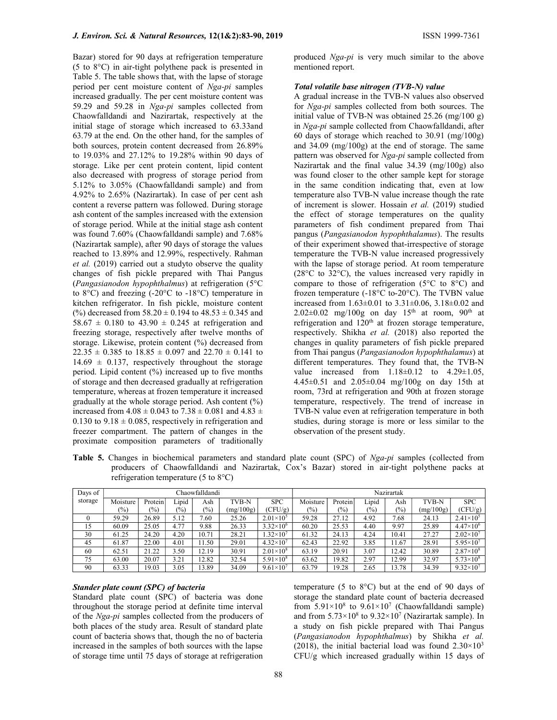Bazar) stored for 90 days at refrigeration temperature (5 to 8°C) in air-tight polythene pack is presented in Table 5. The table shows that, with the lapse of storage period per cent moisture content of Nga-pi samples increased gradually. The per cent moisture content was 59.29 and 59.28 in Nga-pi samples collected from Chaowfalldandi and Nazirartak, respectively at the initial stage of storage which increased to 63.33and 63.79 at the end. On the other hand, for the samples of both sources, protein content decreased from 26.89% to 19.03% and 27.12% to 19.28% within 90 days of storage. Like per cent protein content, lipid content also decreased with progress of storage period from 5.12% to 3.05% (Chaowfalldandi sample) and from 4.92% to 2.65% (Nazirartak). In case of per cent ash content a reverse pattern was followed. During storage ash content of the samples increased with the extension of storage period. While at the initial stage ash content was found 7.60% (Chaowfalldandi sample) and 7.68% (Nazirartak sample), after 90 days of storage the values reached to 13.89% and 12.99%, respectively. Rahman et al. (2019) carried out a studyto observe the quality changes of fish pickle prepared with Thai Pangus (Pangasianodon hypophthalmus) at refrigeration (5°C to 8°C) and freezing (-20°C to -18°C) temperature in kitchen refrigerator. In fish pickle, moisture content (%) decreased from  $58.20 \pm 0.194$  to  $48.53 \pm 0.345$  and  $58.67 \pm 0.180$  to  $43.90 \pm 0.245$  at refrigeration and freezing storage, respectively after twelve months of storage. Likewise, protein content (%) decreased from  $22.35 \pm 0.385$  to  $18.85 \pm 0.097$  and  $22.70 \pm 0.141$  to  $14.69 \pm 0.137$ , respectively throughout the storage

period. Lipid content (%) increased up to five months of storage and then decreased gradually at refrigeration temperature, whereas at frozen temperature it increased gradually at the whole storage period. Ash content (%) increased from  $4.08 \pm 0.043$  to  $7.38 \pm 0.081$  and  $4.83 \pm$ 0.130 to  $9.18 \pm 0.085$ , respectively in refrigeration and freezer compartment. The pattern of changes in the

proximate composition parameters of traditionally

produced Nga-pi is very much similar to the above mentioned report.

## Total volatile base nitrogen (TVB-N) value

A gradual increase in the TVB-N values also observed for Nga-pi samples collected from both sources. The initial value of TVB-N was obtained 25.26 (mg/100 g) in Nga-pi sample collected from Chaowfalldandi, after 60 days of storage which reached to 30.91 (mg/100g) and 34.09 (mg/100g) at the end of storage. The same pattern was observed for Nga-pi sample collected from Nazirartak and the final value 34.39 (mg/100g) also was found closer to the other sample kept for storage in the same condition indicating that, even at low temperature also TVB-N value increase though the rate of increment is slower. Hossain et al. (2019) studied the effect of storage temperatures on the quality parameters of fish condiment prepared from Thai pangus (Pangasianodon hypophthalamus). The results of their experiment showed that-irrespective of storage temperature the TVB-N value increased progressively with the lapse of storage period. At room temperature (28°C to 32°C), the values increased very rapidly in compare to those of refrigeration (5°C to 8°C) and frozen temperature (-18°C to-20°C). The TVBN value increased from 1.63±0.01 to 3.31±0.06, 3.18±0.02 and  $2.02\pm0.02$  mg/100g on day 15<sup>th</sup> at room, 90<sup>th</sup> at refrigeration and 120<sup>th</sup> at frozen storage temperature, respectively. Shikha et al. (2018) also reported the changes in quality parameters of fish pickle prepared from Thai pangus (Pangasianodon hypophthalamus) at different temperatures. They found that, the TVB-N value increased from  $1.18\pm0.12$  to  $4.29\pm1.05$ , 4.45±0.51 and 2.05±0.04 mg/100g on day 15th at room, 73rd at refrigeration and 90th at frozen storage temperature, respectively. The trend of increase in TVB-N value even at refrigeration temperature in both studies, during storage is more or less similar to the observation of the present study.

Table 5. Changes in biochemical parameters and standard plate count (SPC) of Nga-pi samples (collected from producers of Chaowfalldandi and Nazirartak, Cox's Bazar) stored in air-tight polythene packs at refrigeration temperature (5 to 8°C)

| Days of |          | Chaowfalldandi |        | Nazirartak |           |                      |          |               |        |               |           |                      |
|---------|----------|----------------|--------|------------|-----------|----------------------|----------|---------------|--------|---------------|-----------|----------------------|
| storage | Moisture | Protein        | Lipid  | Ash        | TVB-N     | <b>SPC</b>           | Moisture | Protein       | Lipid  | Ash           | TVB-N     | <b>SPC</b>           |
|         | $(\%)$   | $(\%)$         | $(\%)$ | $(\%)$     | (mg/100g) | (CFU/g)              | $(\%)$   | $\frac{1}{2}$ | $(\%)$ | $\frac{6}{2}$ | (mg/100g) | (CFU/g)              |
|         | 59.29    | 26.89          | 5.12   | 7.60       | 25.26     | $2.01 \times 10^5$   | 59.28    | 27.12         | 4.92   | 7.68          | 24.13     | $2.41 \times 10^{5}$ |
| 15      | 60.09    | 25.05          | 4.77   | 9.88       | 26.33     | $3.32\times10^{6}$   | 60.20    | 25.53         | 4.40   | 9.97          | 25.89     | $4.47\times10^{6}$   |
| 30      | 61.25    | 24.20          | 4.20   | 10.71      | 28.21     | $1.32\times10^{7}$   | 61.32    | 24.13         | 4.24   | 10.41         | 27.27     | $2.02 \times 10^7$   |
| 45      | 61.87    | 22.00          | 4.01   | 11.50      | 29.01     | $4.32 \times 10^{7}$ | 62.43    | 22.92         | 3.85   | 11.67         | 28.91     | $5.95 \times 10^{7}$ |
| 60      | 62.51    | 21.22          | 3.50   | 12.19      | 30.91     | $2.01 \times 10^8$   | 63.19    | 20.91         | 3.07   | 12.42         | 30.89     | $2.87\times10^{8}$   |
| 75      | 63.00    | 20.07          | 3.21   | 12.82      | 32.54     | $5.91\times10^{8}$   | 63.62    | 19.82         | 2.97   | 12.99         | 32.97     | $5.73\times10^{8}$   |
| 90      | 63.33    | 19.03          | 3.05   | 13.89      | 34.09     | $9.61\times10^{7}$   | 63.79    | 19.28         | 2.65   | 13.78         | 34.39     | $9.32\times10^{7}$   |

# Stander plate count (SPC) of bacteria

Standard plate count (SPC) of bacteria was done throughout the storage period at definite time interval of the Nga-pi samples collected from the producers of both places of the study area. Result of standard plate count of bacteria shows that, though the no of bacteria increased in the samples of both sources with the lapse of storage time until 75 days of storage at refrigeration

temperature (5 to 8°C) but at the end of 90 days of storage the standard plate count of bacteria decreased from  $5.91 \times 10^8$  to  $9.61 \times 10^7$  (Chaowfalldandi sample) and from  $5.73 \times 10^8$  to  $9.32 \times 10^7$  (Nazirartak sample). In a study on fish pickle prepared with Thai Pangus (Pangasianodon hypophthalmus) by Shikha et al. (2018), the initial bacterial load was found  $2.30\times10^{3}$ CFU/g which increased gradually within 15 days of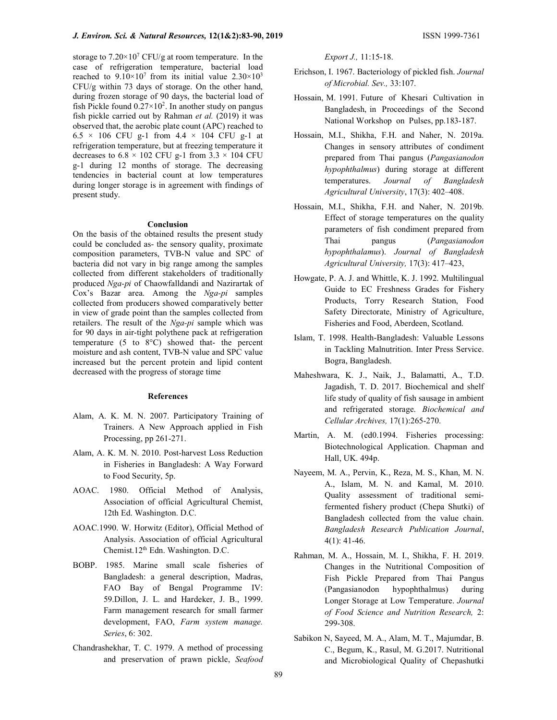storage to  $7.20 \times 10^7$  CFU/g at room temperature. In the case of refrigeration temperature, bacterial load reached to  $9.10 \times 10^7$  from its initial value  $2.30 \times 10^3$ CFU/g within 73 days of storage. On the other hand, during frozen storage of 90 days, the bacterial load of fish Pickle found  $0.27 \times 10^2$ . In another study on pangus fish pickle carried out by Rahman et al. (2019) it was observed that, the aerobic plate count (APC) reached to  $6.5 \times 106$  CFU g-1 from  $4.4 \times 104$  CFU g-1 at refrigeration temperature, but at freezing temperature it decreases to  $6.8 \times 102$  CFU g-1 from  $3.3 \times 104$  CFU g-1 during 12 months of storage. The decreasing tendencies in bacterial count at low temperatures during longer storage is in agreement with findings of present study.

#### Conclusion

On the basis of the obtained results the present study could be concluded as- the sensory quality, proximate composition parameters, TVB-N value and SPC of bacteria did not vary in big range among the samples collected from different stakeholders of traditionally produced Nga-pi of Chaowfalldandi and Nazirartak of Cox's Bazar area. Among the Nga-pi samples collected from producers showed comparatively better in view of grade point than the samples collected from retailers. The result of the Nga-pi sample which was for 90 days in air-tight polythene pack at refrigeration temperature (5 to 8°C) showed that- the percent moisture and ash content, TVB-N value and SPC value increased but the percent protein and lipid content decreased with the progress of storage time

### **References**

- Alam, A. K. M. N. 2007. Participatory Training of Trainers. A New Approach applied in Fish Processing, pp 261-271.
- Alam, A. K. M. N. 2010. Post-harvest Loss Reduction in Fisheries in Bangladesh: A Way Forward to Food Security, 5p.
- AOAC. 1980. Official Method of Analysis, Association of official Agricultural Chemist, 12th Ed. Washington. D.C.
- AOAC.1990. W. Horwitz (Editor), Official Method of Analysis. Association of official Agricultural Chemist.12th Edn. Washington. D.C.
- BOBP. 1985. Marine small scale fisheries of Bangladesh: a general description, Madras, FAO Bay of Bengal Programme IV: 59.Dillon, J. L. and Hardeker, J. B., 1999. Farm management research for small farmer development, FAO, Farm system manage. Series, 6: 302.
- Chandrashekhar, T. C. 1979. A method of processing and preservation of prawn pickle, Seafood

Export J., 11:15-18.

- Erichson, I. 1967. Bacteriology of pickled fish. Journal of Microbial. Sev., 33:107.
- Hossain, M. 1991. Future of Khesari Cultivation in Bangladesh, in Proceedings of the Second National Workshop on Pulses, pp.183-187.
- Hossain, M.I., Shikha, F.H. and Naher, N. 2019a. Changes in sensory attributes of condiment prepared from Thai pangus (Pangasianodon hypophthalmus) during storage at different temperatures. Journal of Bangladesh Agricultural University, 17(3): 402–408.
- Hossain, M.I., Shikha, F.H. and Naher, N. 2019b. Effect of storage temperatures on the quality parameters of fish condiment prepared from Thai pangus (Pangasianodon hypophthalamus). Journal of Bangladesh Agricultural University, 17(3): 417–423,
- Howgate, P. A. J. and Whittle, K. J. 1992. Multilingual Guide to EC Freshness Grades for Fishery Products, Torry Research Station, Food Safety Directorate, Ministry of Agriculture, Fisheries and Food, Aberdeen, Scotland.
- Islam, T. 1998. Health-Bangladesh: Valuable Lessons in Tackling Malnutrition. Inter Press Service. Bogra, Bangladesh.
- Maheshwara, K. J., Naik, J., Balamatti, A., T.D. Jagadish, T. D. 2017. Biochemical and shelf life study of quality of fish sausage in ambient and refrigerated storage. Biochemical and Cellular Archives, 17(1):265-270.
- Martin, A. M. (ed0.1994. Fisheries processing: Biotechnological Application. Chapman and Hall, UK. 494p.
- Nayeem, M. A., Pervin, K., Reza, M. S., Khan, M. N. A., Islam, M. N. and Kamal, M. 2010. Quality assessment of traditional semifermented fishery product (Chepa Shutki) of Bangladesh collected from the value chain. Bangladesh Research Publication Journal, 4(1): 41-46.
- Rahman, M. A., Hossain, M. I., Shikha, F. H. 2019. Changes in the Nutritional Composition of Fish Pickle Prepared from Thai Pangus (Pangasianodon hypophthalmus) during Longer Storage at Low Temperature. Journal of Food Science and Nutrition Research, 2: 299-308.
- Sabikon N, Sayeed, M. A., Alam, M. T., Majumdar, B. C., Begum, K., Rasul, M. G.2017. Nutritional and Microbiological Quality of Chepashutki